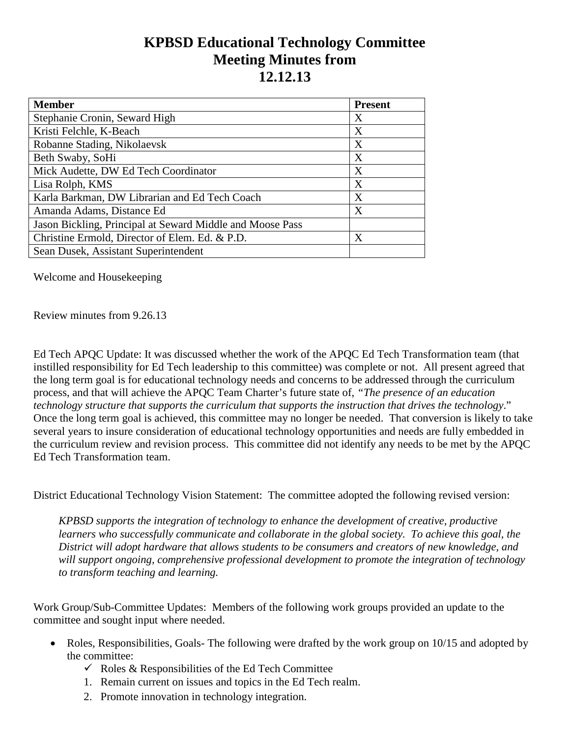## **KPBSD Educational Technology Committee Meeting Minutes from 12.12.13**

| <b>Member</b>                                             | <b>Present</b> |
|-----------------------------------------------------------|----------------|
| Stephanie Cronin, Seward High                             | Χ              |
| Kristi Felchle, K-Beach                                   | X              |
| Robanne Stading, Nikolaevsk                               | X              |
| Beth Swaby, SoHi                                          | X              |
| Mick Audette, DW Ed Tech Coordinator                      | X              |
| Lisa Rolph, KMS                                           | X              |
| Karla Barkman, DW Librarian and Ed Tech Coach             | X              |
| Amanda Adams, Distance Ed                                 | X              |
| Jason Bickling, Principal at Seward Middle and Moose Pass |                |
| Christine Ermold, Director of Elem. Ed. & P.D.            | X              |
| Sean Dusek, Assistant Superintendent                      |                |

Welcome and Housekeeping

Review minutes from 9.26.13

Ed Tech APQC Update: It was discussed whether the work of the APQC Ed Tech Transformation team (that instilled responsibility for Ed Tech leadership to this committee) was complete or not. All present agreed that the long term goal is for educational technology needs and concerns to be addressed through the curriculum process, and that will achieve the APQC Team Charter's future state of, *"The presence of an education technology structure that supports the curriculum that supports the instruction that drives the technology*." Once the long term goal is achieved, this committee may no longer be needed. That conversion is likely to take several years to insure consideration of educational technology opportunities and needs are fully embedded in the curriculum review and revision process. This committee did not identify any needs to be met by the APQC Ed Tech Transformation team.

District Educational Technology Vision Statement: The committee adopted the following revised version:

*KPBSD supports the integration of technology to enhance the development of creative, productive learners who successfully communicate and collaborate in the global society. To achieve this goal, the District will adopt hardware that allows students to be consumers and creators of new knowledge, and will support ongoing, comprehensive professional development to promote the integration of technology to transform teaching and learning.*

Work Group/Sub-Committee Updates: Members of the following work groups provided an update to the committee and sought input where needed.

- Roles, Responsibilities, Goals- The following were drafted by the work group on 10/15 and adopted by the committee:
	- $\checkmark$  Roles & Responsibilities of the Ed Tech Committee
	- 1. Remain current on issues and topics in the Ed Tech realm.
	- 2. Promote innovation in technology integration.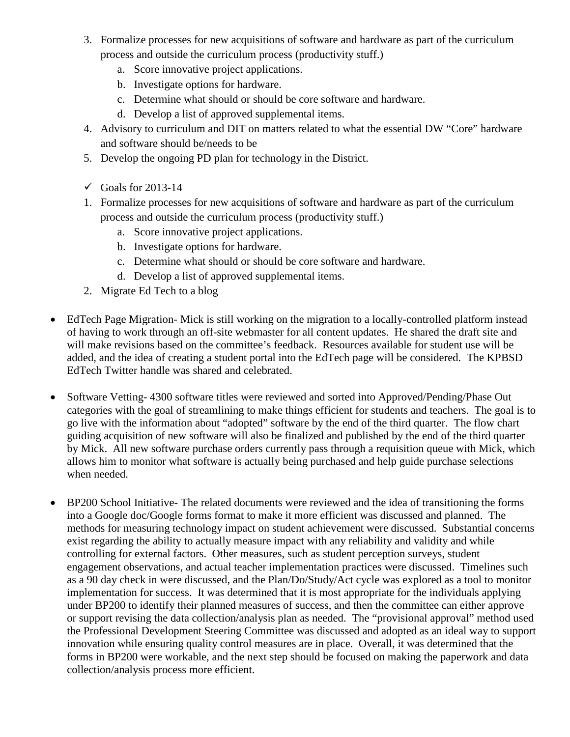- 3. Formalize processes for new acquisitions of software and hardware as part of the curriculum process and outside the curriculum process (productivity stuff.)
	- a. Score innovative project applications.
	- b. Investigate options for hardware.
	- c. Determine what should or should be core software and hardware.
	- d. Develop a list of approved supplemental items.
- 4. Advisory to curriculum and DIT on matters related to what the essential DW "Core" hardware and software should be/needs to be
- 5. Develop the ongoing PD plan for technology in the District.
- $\checkmark$  Goals for 2013-14
- 1. Formalize processes for new acquisitions of software and hardware as part of the curriculum process and outside the curriculum process (productivity stuff.)
	- a. Score innovative project applications.
	- b. Investigate options for hardware.
	- c. Determine what should or should be core software and hardware.
	- d. Develop a list of approved supplemental items.
- 2. Migrate Ed Tech to a blog
- EdTech Page Migration- Mick is still working on the migration to a locally-controlled platform instead of having to work through an off-site webmaster for all content updates. He shared the draft site and will make revisions based on the committee's feedback. Resources available for student use will be added, and the idea of creating a student portal into the EdTech page will be considered. The KPBSD EdTech Twitter handle was shared and celebrated.
- Software Vetting- 4300 software titles were reviewed and sorted into Approved/Pending/Phase Out categories with the goal of streamlining to make things efficient for students and teachers. The goal is to go live with the information about "adopted" software by the end of the third quarter. The flow chart guiding acquisition of new software will also be finalized and published by the end of the third quarter by Mick. All new software purchase orders currently pass through a requisition queue with Mick, which allows him to monitor what software is actually being purchased and help guide purchase selections when needed.
- BP200 School Initiative- The related documents were reviewed and the idea of transitioning the forms into a Google doc/Google forms format to make it more efficient was discussed and planned. The methods for measuring technology impact on student achievement were discussed. Substantial concerns exist regarding the ability to actually measure impact with any reliability and validity and while controlling for external factors. Other measures, such as student perception surveys, student engagement observations, and actual teacher implementation practices were discussed. Timelines such as a 90 day check in were discussed, and the Plan/Do/Study/Act cycle was explored as a tool to monitor implementation for success. It was determined that it is most appropriate for the individuals applying under BP200 to identify their planned measures of success, and then the committee can either approve or support revising the data collection/analysis plan as needed. The "provisional approval" method used the Professional Development Steering Committee was discussed and adopted as an ideal way to support innovation while ensuring quality control measures are in place. Overall, it was determined that the forms in BP200 were workable, and the next step should be focused on making the paperwork and data collection/analysis process more efficient.